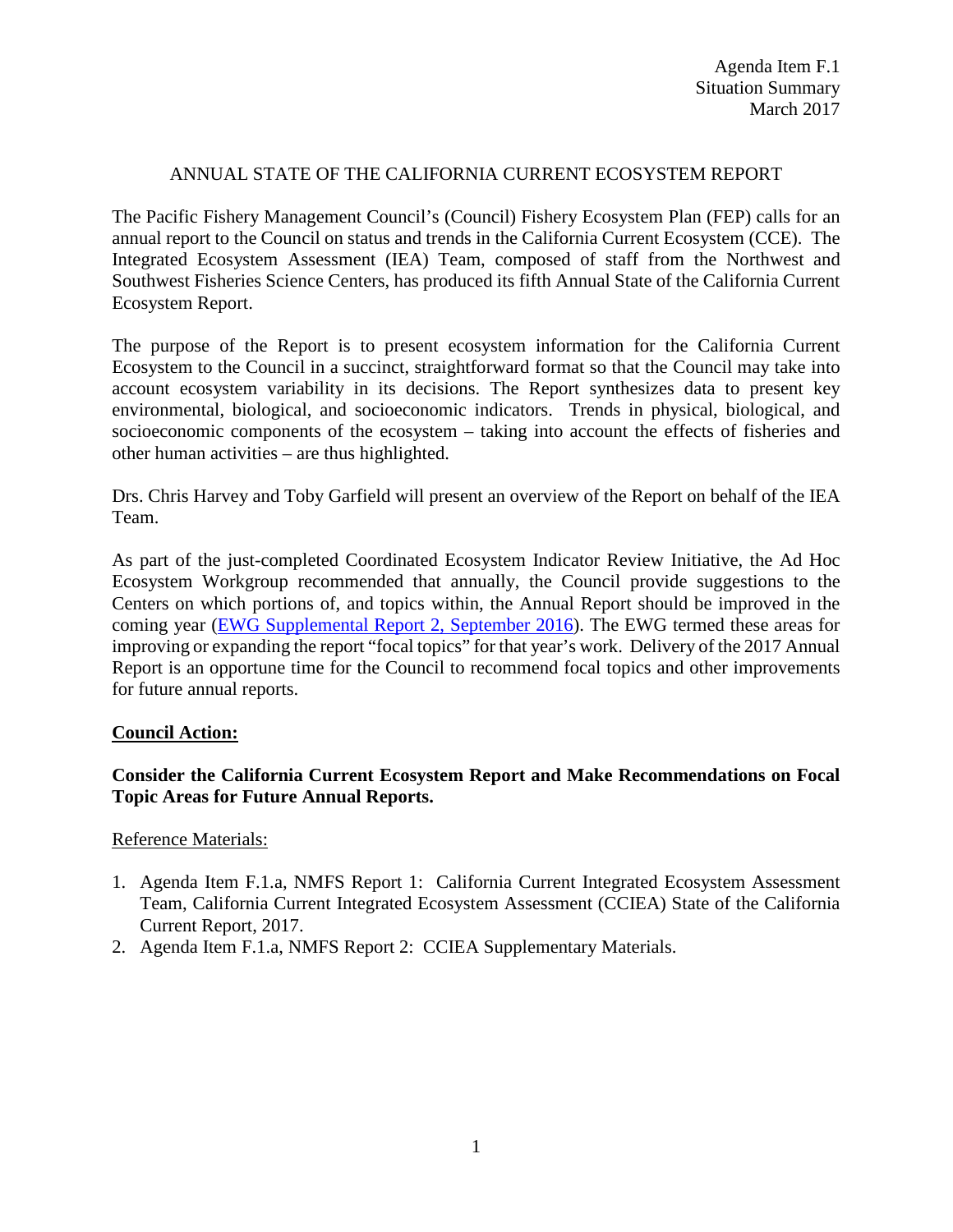## ANNUAL STATE OF THE CALIFORNIA CURRENT ECOSYSTEM REPORT

The Pacific Fishery Management Council's (Council) Fishery Ecosystem Plan (FEP) calls for an annual report to the Council on status and trends in the California Current Ecosystem (CCE). The Integrated Ecosystem Assessment (IEA) Team, composed of staff from the Northwest and Southwest Fisheries Science Centers, has produced its fifth Annual State of the California Current Ecosystem Report.

The purpose of the Report is to present ecosystem information for the California Current Ecosystem to the Council in a succinct, straightforward format so that the Council may take into account ecosystem variability in its decisions. The Report synthesizes data to present key environmental, biological, and socioeconomic indicators. Trends in physical, biological, and socioeconomic components of the ecosystem – taking into account the effects of fisheries and other human activities – are thus highlighted.

Drs. Chris Harvey and Toby Garfield will present an overview of the Report on behalf of the IEA Team.

As part of the just-completed Coordinated Ecosystem Indicator Review Initiative, the Ad Hoc Ecosystem Workgroup recommended that annually, the Council provide suggestions to the Centers on which portions of, and topics within, the Annual Report should be improved in the coming year [\(EWG Supplemental Report 2, September 2016\)](http://www.pcouncil.org/wp-content/uploads/2016/09/D1a_Sup_EWG_Rpt2_SEPT2016BB.pdf). The EWG termed these areas for improving or expanding the report "focal topics" for that year's work. Delivery of the 2017 Annual Report is an opportune time for the Council to recommend focal topics and other improvements for future annual reports.

### **Council Action:**

# **Consider the California Current Ecosystem Report and Make Recommendations on Focal Topic Areas for Future Annual Reports.**

### Reference Materials:

- 1. Agenda Item F.1.a, NMFS Report 1: California Current Integrated Ecosystem Assessment Team, California Current Integrated Ecosystem Assessment (CCIEA) State of the California Current Report, 2017.
- 2. Agenda Item F.1.a, NMFS Report 2: CCIEA Supplementary Materials.